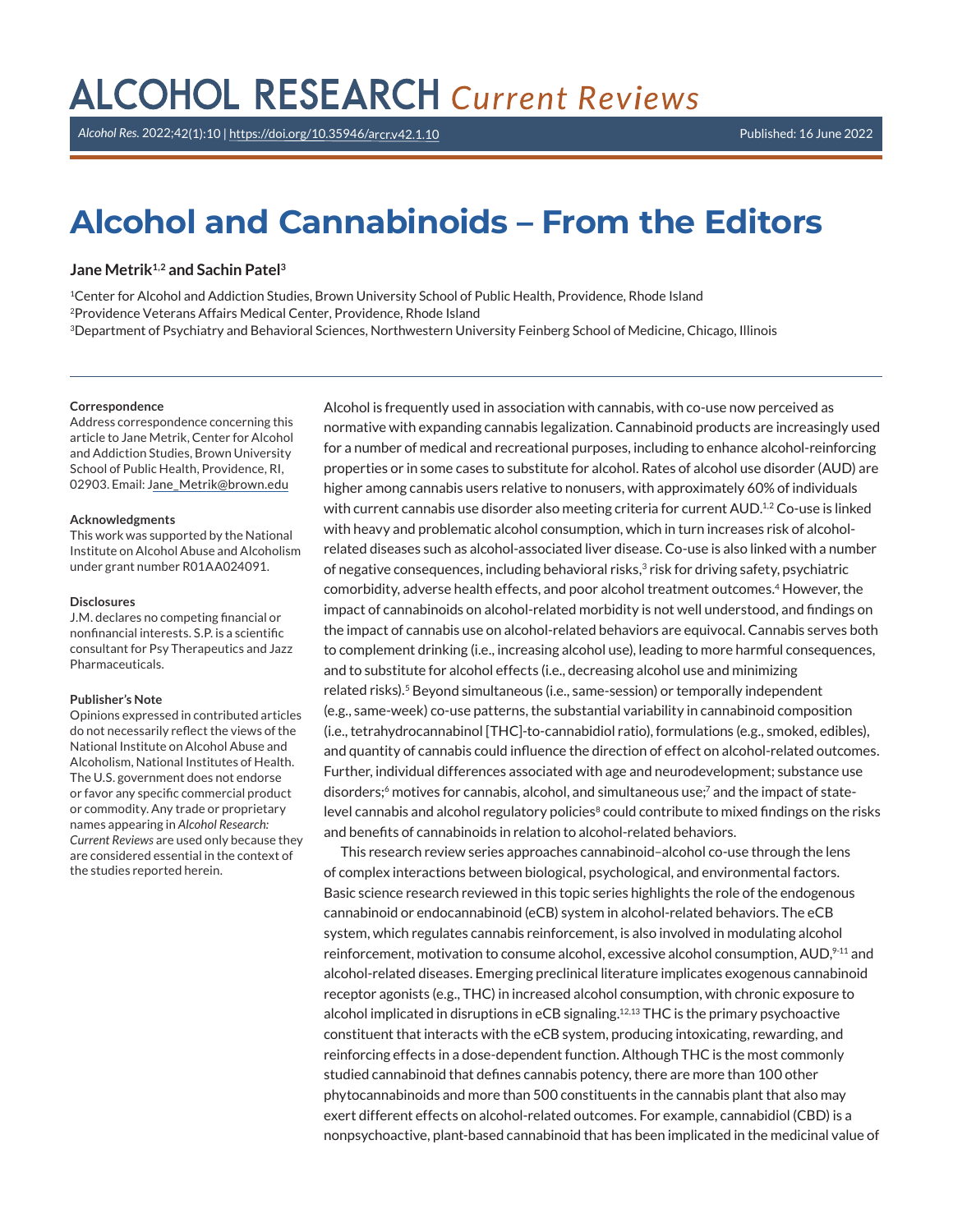# **ALCOHOL RESEARCH Current Reviews**

*Alcohol Res.* 2022;42(1):10 |<https://doi.org/10.35946/arcr.v42.1.10> Published: 16 June 2022

# **Alcohol and Cannabinoids – From the Editors**

### **Jane Metrik1,2 and Sachin Patel<sup>3</sup>**

<sup>1</sup>Center for Alcohol and Addiction Studies, Brown University School of Public Health, Providence, Rhode Island <sup>2</sup>Providence Veterans Affairs Medical Center, Providence, Rhode Island <sup>3</sup>Department of Psychiatry and Behavioral Sciences, Northwestern University Feinberg School of Medicine, Chicago, Illinois

#### **Correspondence**

Address correspondence concerning this article to Jane Metrik, Center for Alcohol and Addiction Studies, Brown University School of Public Health, Providence, RI, 02903. Email: [Jane\\_Metrik@brown.edu](mailto:Jane_Metrik@brown.edu)

#### **Acknowledgments**

This work was supported by the National Institute on Alcohol Abuse and Alcoholism under grant number R01AA024091.

#### **Disclosures**

J.M. declares no competing financial or nonfinancial interests. S.P. is a scientific consultant for Psy Therapeutics and Jazz Pharmaceuticals.

#### **Publisher's Note**

Opinions expressed in contributed articles do not necessarily reflect the views of the National Institute on Alcohol Abuse and Alcoholism, National Institutes of Health. The U.S. government does not endorse or favor any specific commercial product or commodity. Any trade or proprietary names appearing in *Alcohol Research: Current Reviews* are used only because they are considered essential in the context of the studies reported herein.

Alcohol is frequently used in association with cannabis, with co-use now perceived as normative with expanding cannabis legalization. Cannabinoid products are increasingly used for a number of medical and recreational purposes, including to enhance alcohol-reinforcing properties or in some cases to substitute for alcohol. Rates of alcohol use disorder (AUD) are higher among cannabis users relative to nonusers, with approximately 60% of individuals with current cannabis use disorder also meeting criteria for current AUD.<sup>1,2</sup> Co-use is linked with heavy and problematic alcohol consumption, which in turn increases risk of alcoholrelated diseases such as alcohol-associated liver disease. Co-use is also linked with a number of negative consequences, including behavioral risks, $3$  risk for driving safety, psychiatric comorbidity, adverse health effects, and poor alcohol treatment outcomes.<sup>4</sup> However, the impact of cannabinoids on alcohol-related morbidity is not well understood, and findings on the impact of cannabis use on alcohol-related behaviors are equivocal. Cannabis serves both to complement drinking (i.e., increasing alcohol use), leading to more harmful consequences, and to substitute for alcohol effects (i.e., decreasing alcohol use and minimizing related risks).<sup>5</sup> Beyond simultaneous (i.e., same-session) or temporally independent (e.g., same-week) co-use patterns, the substantial variability in cannabinoid composition (i.e., tetrahydrocannabinol [THC]-to-cannabidiol ratio), formulations (e.g., smoked, edibles), and quantity of cannabis could influence the direction of effect on alcohol-related outcomes. Further, individual differences associated with age and neurodevelopment; substance use disorders; $6$  motives for cannabis, alcohol, and simultaneous use; $7$  and the impact of statelevel cannabis and alcohol regulatory policies<sup>8</sup> could contribute to mixed findings on the risks and benefits of cannabinoids in relation to alcohol-related behaviors.

This research review series approaches cannabinoid–alcohol co-use through the lens of complex interactions between biological, psychological, and environmental factors. Basic science research reviewed in this topic series highlights the role of the endogenous cannabinoid or endocannabinoid (eCB) system in alcohol-related behaviors. The eCB system, which regulates cannabis reinforcement, is also involved in modulating alcohol reinforcement, motivation to consume alcohol, excessive alcohol consumption, AUD,<sup>9-11</sup> and alcohol-related diseases. Emerging preclinical literature implicates exogenous cannabinoid receptor agonists (e.g., THC) in increased alcohol consumption, with chronic exposure to alcohol implicated in disruptions in eCB signaling.12,13 THC is the primary psychoactive constituent that interacts with the eCB system, producing intoxicating, rewarding, and reinforcing effects in a dose-dependent function. Although THC is the most commonly studied cannabinoid that defines cannabis potency, there are more than 100 other phytocannabinoids and more than 500 constituents in the cannabis plant that also may exert different effects on alcohol-related outcomes. For example, cannabidiol (CBD) is a nonpsychoactive, plant-based cannabinoid that has been implicated in the medicinal value of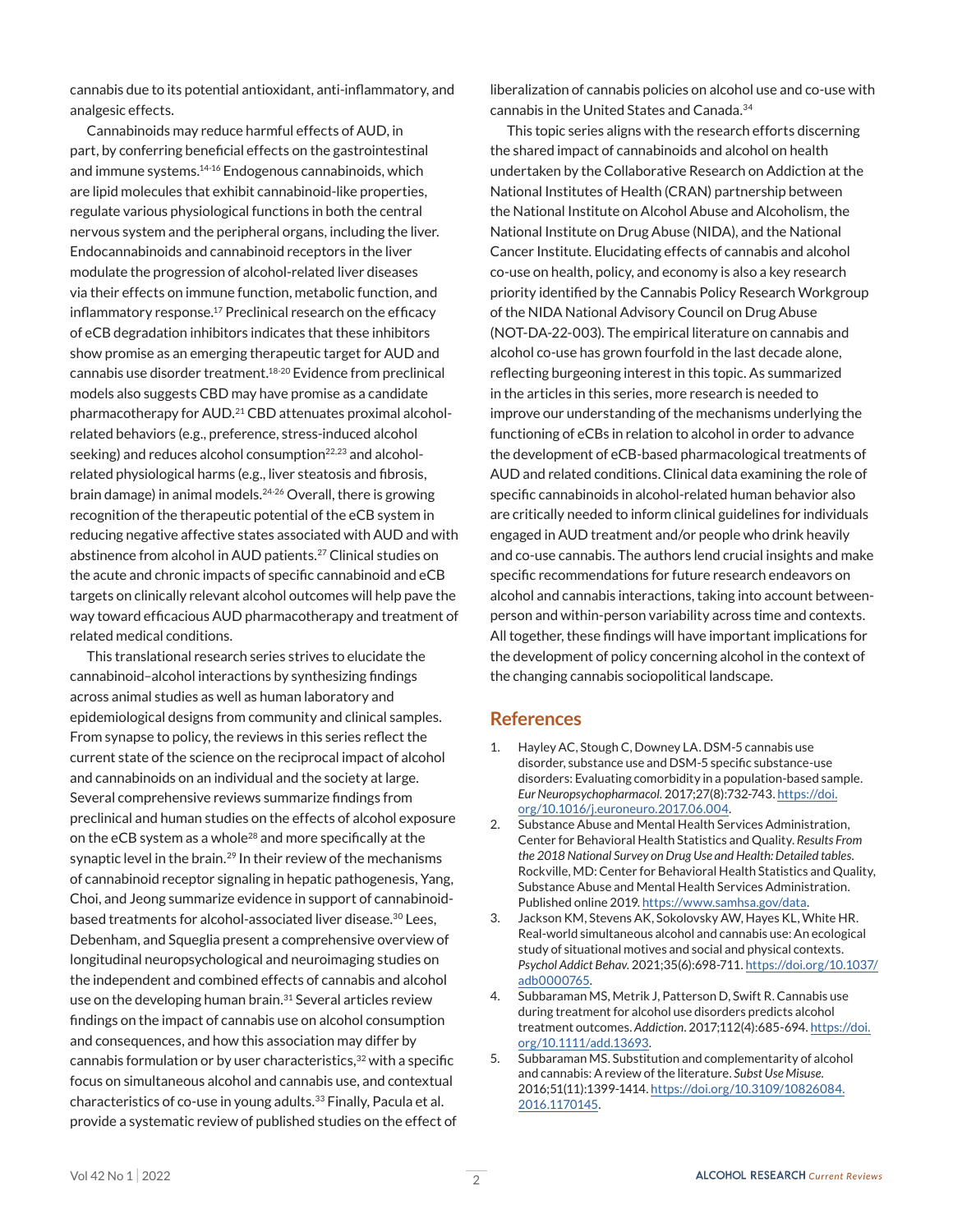cannabis due to its potential antioxidant, anti-inflammatory, and analgesic effects.

Cannabinoids may reduce harmful effects of AUD, in part, by conferring beneficial effects on the gastrointestinal and immune systems.<sup>14-16</sup> Endogenous cannabinoids, which are lipid molecules that exhibit cannabinoid-like properties, regulate various physiological functions in both the central nervous system and the peripheral organs, including the liver. Endocannabinoids and cannabinoid receptors in the liver modulate the progression of alcohol-related liver diseases via their effects on immune function, metabolic function, and inflammatory response.<sup>17</sup> Preclinical research on the efficacy of eCB degradation inhibitors indicates that these inhibitors show promise as an emerging therapeutic target for AUD and cannabis use disorder treatment.18-20 Evidence from preclinical models also suggests CBD may have promise as a candidate pharmacotherapy for AUD.21 CBD attenuates proximal alcoholrelated behaviors (e.g., preference, stress-induced alcohol seeking) and reduces alcohol consumption<sup>22,23</sup> and alcoholrelated physiological harms (e.g., liver steatosis and fibrosis, brain damage) in animal models.<sup>24-26</sup> Overall, there is growing recognition of the therapeutic potential of the eCB system in reducing negative affective states associated with AUD and with abstinence from alcohol in AUD patients.27 Clinical studies on the acute and chronic impacts of specific cannabinoid and eCB targets on clinically relevant alcohol outcomes will help pave the way toward efficacious AUD pharmacotherapy and treatment of related medical conditions.

This translational research series strives to elucidate the cannabinoid–alcohol interactions by synthesizing findings across animal studies as well as human laboratory and epidemiological designs from community and clinical samples. From synapse to policy, the reviews in this series reflect the current state of the science on the reciprocal impact of alcohol and cannabinoids on an individual and the society at large. Several comprehensive reviews summarize findings from preclinical and human studies on the effects of alcohol exposure on the eCB system as a whole<sup>28</sup> and more specifically at the synaptic level in the brain.<sup>29</sup> In their review of the mechanisms of cannabinoid receptor signaling in hepatic pathogenesis, Yang, Choi, and Jeong summarize evidence in support of cannabinoidbased treatments for alcohol-associated liver disease.<sup>30</sup> Lees, Debenham, and Squeglia present a comprehensive overview of longitudinal neuropsychological and neuroimaging studies on the independent and combined effects of cannabis and alcohol use on the developing human brain.<sup>31</sup> Several articles review findings on the impact of cannabis use on alcohol consumption and consequences, and how this association may differ by cannabis formulation or by user characteristics,<sup>32</sup> with a specific focus on simultaneous alcohol and cannabis use, and contextual characteristics of co-use in young adults.<sup>33</sup> Finally, Pacula et al. provide a systematic review of published studies on the effect of liberalization of cannabis policies on alcohol use and co-use with cannabis in the United States and Canada.34

This topic series aligns with the research efforts discerning the shared impact of cannabinoids and alcohol on health undertaken by the Collaborative Research on Addiction at the National Institutes of Health (CRAN) partnership between the National Institute on Alcohol Abuse and Alcoholism, the National Institute on Drug Abuse (NIDA), and the National Cancer Institute. Elucidating effects of cannabis and alcohol co-use on health, policy, and economy is also a key research priority identified by the Cannabis Policy Research Workgroup of the NIDA National Advisory Council on Drug Abuse (NOT-DA-22-003). The empirical literature on cannabis and alcohol co-use has grown fourfold in the last decade alone, reflecting burgeoning interest in this topic. As summarized in the articles in this series, more research is needed to improve our understanding of the mechanisms underlying the functioning of eCBs in relation to alcohol in order to advance the development of eCB-based pharmacological treatments of AUD and related conditions. Clinical data examining the role of specific cannabinoids in alcohol-related human behavior also are critically needed to inform clinical guidelines for individuals engaged in AUD treatment and/or people who drink heavily and co-use cannabis. The authors lend crucial insights and make specific recommendations for future research endeavors on alcohol and cannabis interactions, taking into account betweenperson and within-person variability across time and contexts. All together, these findings will have important implications for the development of policy concerning alcohol in the context of the changing cannabis sociopolitical landscape.

## **References**

- 1. Hayley AC, Stough C, Downey LA. DSM-5 cannabis use disorder, substance use and DSM-5 specific substance-use disorders: Evaluating comorbidity in a population-based sample. *Eur Neuropsychopharmacol.* 2017;27(8):732-743. [https://doi.](https://doi.org/10.1016/j.euroneuro.2017.06.004) [org/10.1016/j.euroneuro.2017.06.004](https://doi.org/10.1016/j.euroneuro.2017.06.004).
- 2. Substance Abuse and Mental Health Services Administration, Center for Behavioral Health Statistics and Quality. *Results From the 2018 National Survey on Drug Use and Health: Detailed tables.*  Rockville, MD: Center for Behavioral Health Statistics and Quality, Substance Abuse and Mental Health Services Administration. Published online 2019. [https://www.samhsa.gov/data.](https://www.samhsa.gov/data)
- 3. Jackson KM, Stevens AK, Sokolovsky AW, Hayes KL, White HR. Real-world simultaneous alcohol and cannabis use: An ecological study of situational motives and social and physical contexts. *Psychol Addict Behav.* 2021;35(6):698-711. [https://doi.org/10.1037/](https://doi.org/10.1037/adb0000765) [adb0000765](https://doi.org/10.1037/adb0000765).
- 4. Subbaraman MS, Metrik J, Patterson D, Swift R. Cannabis use during treatment for alcohol use disorders predicts alcohol treatment outcomes. *Addiction*. 2017;112(4):685-694. [https://doi.](https://doi.org/10.1111/add.13693) [org/10.1111/add.13693](https://doi.org/10.1111/add.13693).
- Subbaraman MS. Substitution and complementarity of alcohol and cannabis: A review of the literature. *Subst Use Misuse.*  2016;51(11):1399-1414. [https://doi.org/10.3109/10826084.](https://doi.org/10.3109/10826084.2016.1170145) [2016.1170145.](https://doi.org/10.3109/10826084.2016.1170145)